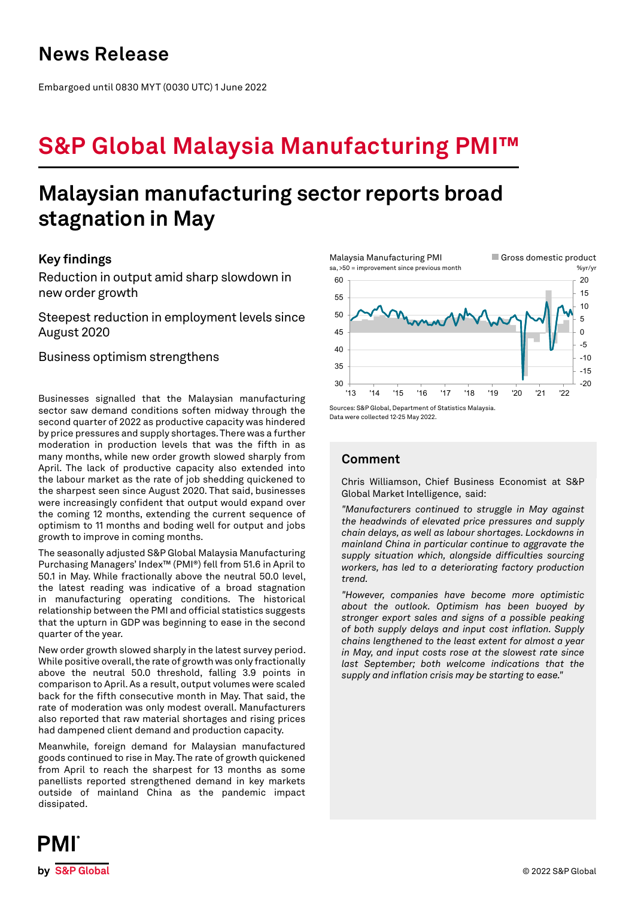Embargoed until 0830 MYT (0030 UTC) 1 June 2022

# **S&P Global Malaysia Manufacturing PMI™**

## **Malaysian manufacturing sector reports broad stagnation in May**

## **Key findings**

Reduction in output amid sharp slowdown in new order growth

Steepest reduction in employment levels since August 2020

Business optimism strengthens

Businesses signalled that the Malaysian manufacturing sector saw demand conditions soften midway through the second quarter of 2022 as productive capacity was hindered by price pressures and supply shortages. There was a further moderation in production levels that was the fifth in as many months, while new order growth slowed sharply from April. The lack of productive capacity also extended into the labour market as the rate of job shedding quickened to the sharpest seen since August 2020. That said, businesses were increasingly confident that output would expand over the coming 12 months, extending the current sequence of optimism to 11 months and boding well for output and jobs growth to improve in coming months.

The seasonally adjusted S&P Global Malaysia Manufacturing Purchasing Managers' Index™ (PMI®) fell from 51.6 in April to 50.1 in May. While fractionally above the neutral 50.0 level, the latest reading was indicative of a broad stagnation in manufacturing operating conditions. The historical relationship between the PMI and official statistics suggests that the upturn in GDP was beginning to ease in the second quarter of the year.

New order growth slowed sharply in the latest survey period. While positive overall, the rate of growth was only fractionally above the neutral 50.0 threshold, falling 3.9 points in comparison to April. As a result, output volumes were scaled back for the fifth consecutive month in May. That said, the rate of moderation was only modest overall. Manufacturers also reported that raw material shortages and rising prices had dampened client demand and production capacity.

Meanwhile, foreign demand for Malaysian manufactured goods continued to rise in May. The rate of growth quickened from April to reach the sharpest for 13 months as some panellists reported strengthened demand in key markets outside of mainland China as the pandemic impact dissipated.



Data were collected 12-25 May 2022.

## **Comment**

Chris Williamson, Chief Business Economist at S&P Global Market Intelligence, said:

*"Manufacturers continued to struggle in May against the headwinds of elevated price pressures and supply chain delays, as well as labour shortages. Lockdowns in mainland China in particular continue to aggravate the supply situation which, alongside difficulties sourcing workers, has led to a deteriorating factory production trend.* 

*"However, companies have become more optimistic about the outlook. Optimism has been buoyed by stronger export sales and signs of a possible peaking of both supply delays and input cost inflation. Supply chains lengthened to the least extent for almost a year in May, and input costs rose at the slowest rate since last September; both welcome indications that the supply and inflation crisis may be starting to ease."*